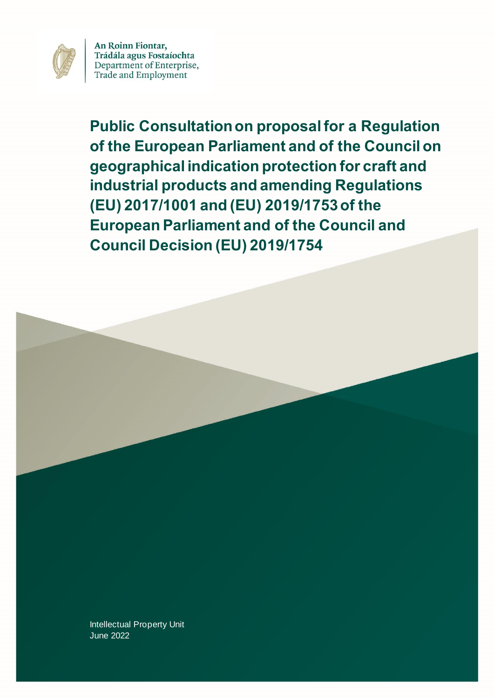

An Roinn Fiontar, Trádála agus Fostaíochta Department of Enterprise, Trade and Employment

**Public Consultation on proposal for a Regulation of the European Parliament and of the Council on geographical indication protection for craft and industrial products and amending Regulations (EU) 2017/1001 and (EU) 2019/1753 of the European Parliament and of the Council and Council Decision (EU) 2019/1754**

Intellectual Property Unit June 2022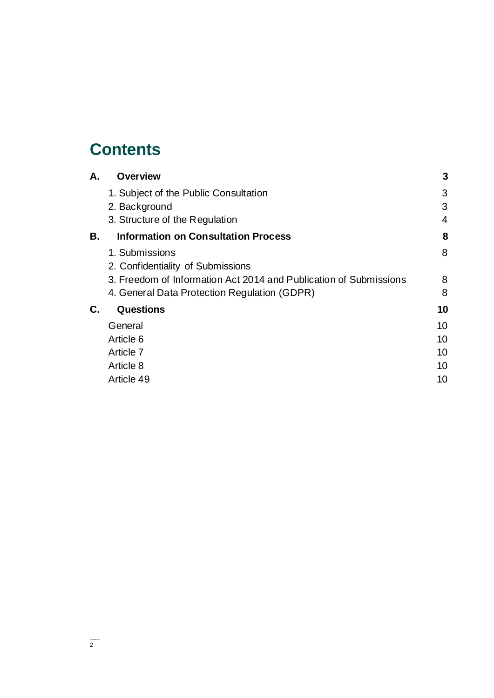# **Contents**

| А. | <b>Overview</b>                                                   | 3              |
|----|-------------------------------------------------------------------|----------------|
|    | 1. Subject of the Public Consultation                             | 3              |
|    | 2. Background                                                     | 3              |
|    | 3. Structure of the Regulation                                    | $\overline{4}$ |
| В. | <b>Information on Consultation Process</b>                        | 8              |
|    | 1. Submissions<br>2. Confidentiality of Submissions               | 8              |
|    | 3. Freedom of Information Act 2014 and Publication of Submissions | 8              |
|    | 4. General Data Protection Regulation (GDPR)                      | 8              |
| С. | Questions                                                         | 10             |
|    | General                                                           | 10             |
|    | Article 6                                                         | 10             |
|    | Article 7                                                         | 10             |
|    | Article 8                                                         | 10             |
|    | Article 49                                                        | 10             |
|    |                                                                   |                |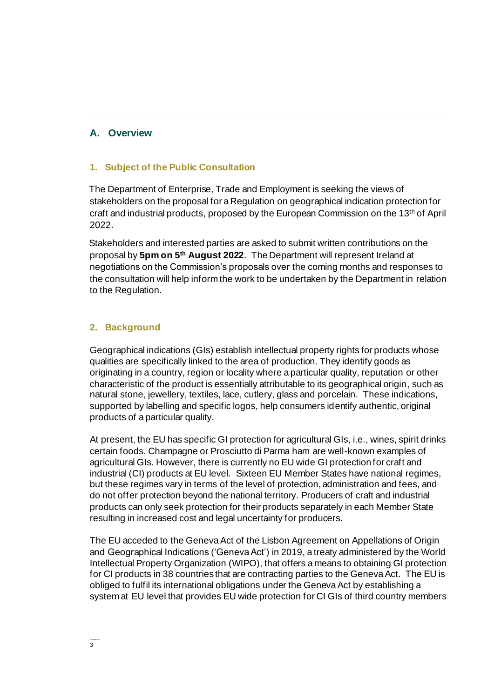## **A. Overview**

#### **1. Subject of the Public Consultation**

The Department of Enterprise, Trade and Employment is seeking the views of stakeholders on the proposal for a Regulation on geographical indication protection for craft and industrial products, proposed by the European Commission on the 13th of April 2022.

Stakeholders and interested parties are asked to submit written contributions on the proposal by **5pm on 5 th August 2022.** The Department will represent Ireland at negotiations on the Commission's proposals over the coming months and responses to the consultation will help inform the work to be undertaken by the Department in relation to the Regulation.

## **2. Background**

Geographical indications (GIs) establish intellectual property rights for products whose qualities are specifically linked to the area of production. They identify goods as originating in a country, region or locality where a particular quality, reputation or other characteristic of the product is essentially attributable to its geographical origin, such as natural stone, jewellery, textiles, lace, cutlery, glass and porcelain. These indications, supported by labelling and specific logos, help consumers identify authentic, original products of a particular quality.

At present, the EU has specific GI protection for agricultural GIs, i.e., wines, spirit drinks certain foods. Champagne or Prosciutto di Parma ham are well-known examples of agricultural GIs. However, there is currently no EU wide GI protection for craft and industrial (CI) products at EU level. Sixteen EU Member States have national regimes, but these regimes vary in terms of the level of protection, administration and fees, and do not offer protection beyond the national territory. Producers of craft and industrial products can only seek protection for their products separately in each Member State resulting in increased cost and legal uncertainty for producers.

The EU acceded to the Geneva Act of the Lisbon Agreement on Appellations of Origin and Geographical Indications ('Geneva Act') in 2019, a treaty administered by the World Intellectual Property Organization (WIPO), that offers a means to obtaining GI protection for CI products in 38 countries that are contracting parties to the Geneva Act. The EU is obliged to fulfil its international obligations under the Geneva Act by establishing a system at EU level that provides EU wide protection for CI GIs of third country members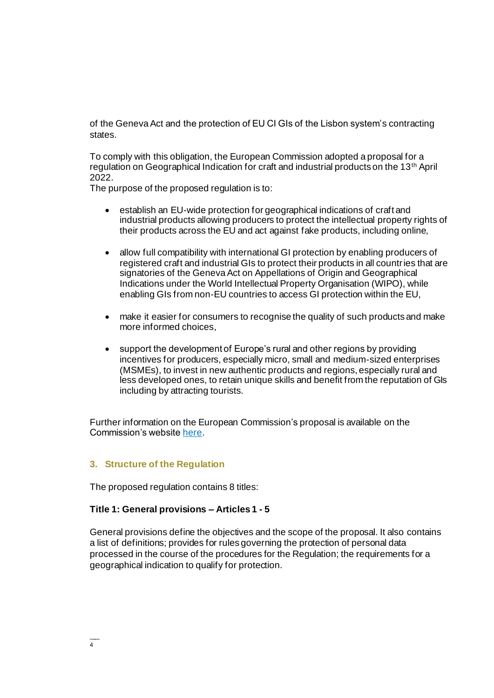of the Geneva Act and the protection of EU CI GIs of the Lisbon system's contracting states.

To comply with this obligation, the European Commission adopted a proposal for a regulation on Geographical Indication for craft and industrial products on the 13th April 2022.

The purpose of the proposed regulation is to:

- establish an EU-wide protection for geographical indications of craft and industrial products allowing producers to protect the intellectual property rights of their products across the EU and act against fake products, including online,
- allow full compatibility with international GI protection by enabling producers of registered craft and industrial GIs to protect their products in all countries that are signatories of the Geneva Act on Appellations of Origin and Geographical Indications under the World Intellectual Property Organisation (WIPO), while enabling GIs from non-EU countries to access GI protection within the EU,
- make it easier for consumers to recognise the quality of such products and make more informed choices,
- support the development of Europe's rural and other regions by providing incentives for producers, especially micro, small and medium-sized enterprises (MSMEs), to invest in new authentic products and regions, especially rural and less developed ones, to retain unique skills and benefit from the reputation of GIs including by attracting tourists.

Further information on the European Commission's proposal is available on the Commission's website [here.](https://ec.europa.eu/growth/publications/regulation-geographical-indications-craft-and-industrial-products-documents_en)

#### **3. Structure of the Regulation**

The proposed regulation contains 8 titles:

#### **Title 1: General provisions – Articles 1 - 5**

General provisions define the objectives and the scope of the proposal. It also contains a list of definitions; provides for rules governing the protection of personal data processed in the course of the procedures for the Regulation; the requirements for a geographical indication to qualify for protection.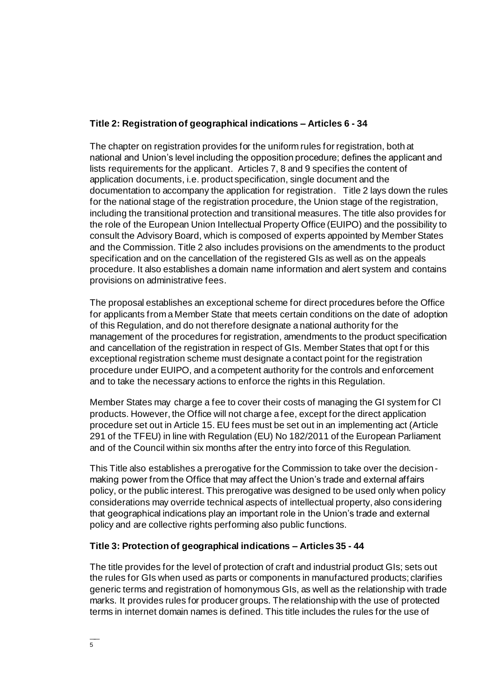#### **Title 2: Registration of geographical indications – Articles 6 - 34**

The chapter on registration provides for the uniform rules for registration, both at national and Union's level including the opposition procedure; defines the applicant and lists requirements for the applicant. Articles 7, 8 and 9 specifies the content of application documents, i.e. product specification, single document and the documentation to accompany the application for registration. Title 2 lays down the rules for the national stage of the registration procedure, the Union stage of the registration, including the transitional protection and transitional measures. The title also provides for the role of the European Union Intellectual Property Office (EUIPO) and the possibility to consult the Advisory Board, which is composed of experts appointed by Member States and the Commission. Title 2 also includes provisions on the amendments to the product specification and on the cancellation of the registered GIs as well as on the appeals procedure. It also establishes a domain name information and alert system and contains provisions on administrative fees.

The proposal establishes an exceptional scheme for direct procedures before the Office for applicants from a Member State that meets certain conditions on the date of adoption of this Regulation, and do not therefore designate a national authority for the management of the procedures for registration, amendments to the product specification and cancellation of the registration in respect of GIs. Member States that opt f or this exceptional registration scheme must designate a contact point for the registration procedure under EUIPO, and a competent authority for the controls and enforcement and to take the necessary actions to enforce the rights in this Regulation.

Member States may charge a fee to cover their costs of managing the GI system for CI products. However, the Office will not charge a fee, except for the direct application procedure set out in Article 15. EU fees must be set out in an implementing act (Article 291 of the TFEU) in line with Regulation (EU) No 182/2011 of the European Parliament and of the Council within six months after the entry into force of this Regulation.

This Title also establishes a prerogative for the Commission to take over the decisionmaking power from the Office that may affect the Union's trade and external affairs policy, or the public interest. This prerogative was designed to be used only when policy considerations may override technical aspects of intellectual property, also considering that geographical indications play an important role in the Union's trade and external policy and are collective rights performing also public functions.

## **Title 3: Protection of geographical indications – Articles 35 - 44**

The title provides for the level of protection of craft and industrial product GIs; sets out the rules for GIs when used as parts or components in manufactured products; clarifies generic terms and registration of homonymous GIs, as well as the relationship with trade marks. It provides rules for producer groups. The relationship with the use of protected terms in internet domain names is defined. This title includes the rules for the use of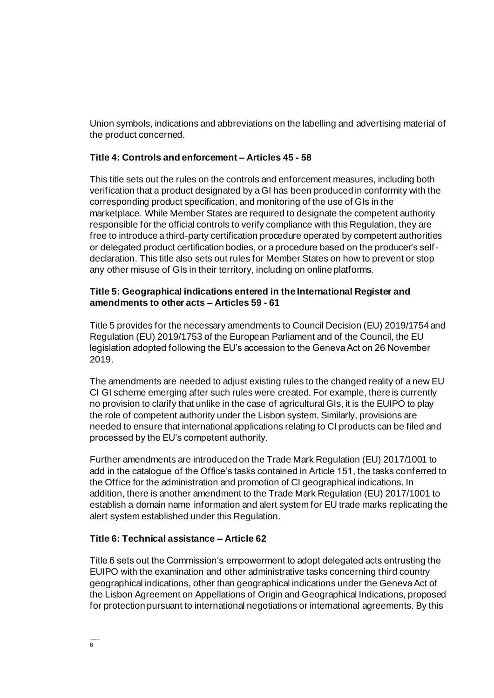Union symbols, indications and abbreviations on the labelling and advertising material of the product concerned.

#### **Title 4: Controls and enforcement – Articles 45 - 58**

This title sets out the rules on the controls and enforcement measures, including both verification that a product designated by a GI has been produced in conformity with the corresponding product specification, and monitoring of the use of GIs in the marketplace. While Member States are required to designate the competent authority responsible for the official controls to verify compliance with this Regulation, they are free to introduce a third-party certification procedure operated by competent authorities or delegated product certification bodies, or a procedure based on the producer's selfdeclaration. This title also sets out rules for Member States on how to prevent or stop any other misuse of GIs in their territory, including on online platforms.

#### **Title 5: Geographical indications entered in the International Register and amendments to other acts – Articles 59 - 61**

Title 5 provides for the necessary amendments to Council Decision (EU) 2019/1754 and Regulation (EU) 2019/1753 of the European Parliament and of the Council, the EU legislation adopted following the EU's accession to the Geneva Act on 26 November 2019.

The amendments are needed to adjust existing rules to the changed reality of a new EU CI GI scheme emerging after such rules were created. For example, there is currently no provision to clarify that unlike in the case of agricultural GIs, it is the EUIPO to play the role of competent authority under the Lisbon system. Similarly, provisions are needed to ensure that international applications relating to CI products can be filed and processed by the EU's competent authority.

Further amendments are introduced on the Trade Mark Regulation (EU) 2017/1001 to add in the catalogue of the Office's tasks contained in Article 151, the tasks conferred to the Office for the administration and promotion of CI geographical indications. In addition, there is another amendment to the Trade Mark Regulation (EU) 2017/1001 to establish a domain name information and alert system for EU trade marks replicating the alert system established under this Regulation.

#### **Title 6: Technical assistance – Article 62**

Title 6 sets out the Commission's empowerment to adopt delegated acts entrusting the EUIPO with the examination and other administrative tasks concerning third country geographical indications, other than geographical indications under the Geneva Act of the Lisbon Agreement on Appellations of Origin and Geographical Indications, proposed for protection pursuant to international negotiations or international agreements. By this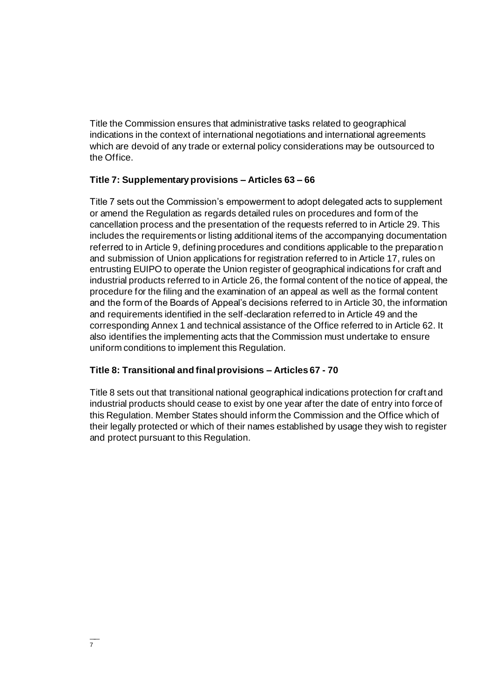Title the Commission ensures that administrative tasks related to geographical indications in the context of international negotiations and international agreements which are devoid of any trade or external policy considerations may be outsourced to the Office.

## **Title 7: Supplementary provisions – Articles 63 – 66**

Title 7 sets out the Commission's empowerment to adopt delegated acts to supplement or amend the Regulation as regards detailed rules on procedures and form of the cancellation process and the presentation of the requests referred to in Article 29. This includes the requirements or listing additional items of the accompanying documentation referred to in Article 9, defining procedures and conditions applicable to the preparation and submission of Union applications for registration referred to in Article 17, rules on entrusting EUIPO to operate the Union register of geographical indications for craft and industrial products referred to in Article 26, the formal content of the notice of appeal, the procedure for the filing and the examination of an appeal as well as the formal content and the form of the Boards of Appeal's decisions referred to in Article 30, the information and requirements identified in the self-declaration referred to in Article 49 and the corresponding Annex 1 and technical assistance of the Office referred to in Article 62. It also identifies the implementing acts that the Commission must undertake to ensure uniform conditions to implement this Regulation.

## **Title 8: Transitional and final provisions – Articles 67 - 70**

Title 8 sets out that transitional national geographical indications protection for craft and industrial products should cease to exist by one year after the date of entry into force of this Regulation. Member States should inform the Commission and the Office which of their legally protected or which of their names established by usage they wish to register and protect pursuant to this Regulation.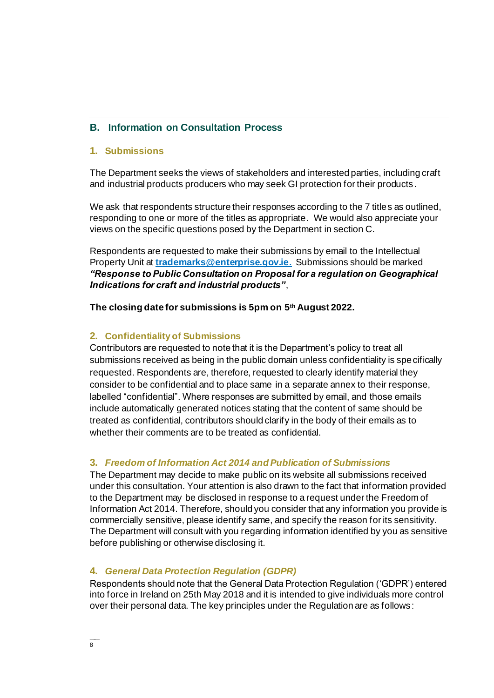## **B. Information on Consultation Process**

#### **1. Submissions**

The Department seeks the views of stakeholders and interested parties, including craft and industrial products producers who may seek GI protection for their products.

We ask that respondents structure their responses according to the 7 titles as outlined, responding to one or more of the titles as appropriate. We would also appreciate your views on the specific questions posed by the Department in section C.

Respondents are requested to make their submissions by email to the Intellectual Property Unit at **[trademarks@enterprise.gov.ie](mailto:trademarks@enterprise.gov.ie).** Submissions should be marked *"Response to Public Consultation on Proposal for a regulation on Geographical Indications for craft and industrial products"*,

#### **The closing date for submissions is 5pm on 5 th August 2022.**

## **2. Confidentiality of Submissions**

Contributors are requested to note that it is the Department's policy to treat all submissions received as being in the public domain unless confidentiality is specifically requested. Respondents are, therefore, requested to clearly identify material they consider to be confidential and to place same in a separate annex to their response, labelled "confidential". Where responses are submitted by email, and those emails include automatically generated notices stating that the content of same should be treated as confidential, contributors should clarify in the body of their emails as to whether their comments are to be treated as confidential.

## **3.** *Freedom of Information Act 2014 and Publication of Submissions*

The Department may decide to make public on its website all submissions received under this consultation. Your attention is also drawn to the fact that information provided to the Department may be disclosed in response to a request under the Freedom of Information Act 2014. Therefore, should you consider that any information you provide is commercially sensitive, please identify same, and specify the reason for its sensitivity. The Department will consult with you regarding information identified by you as sensitive before publishing or otherwise disclosing it.

## **4.** *General Data Protection Regulation (GDPR)*

Respondents should note that the General Data Protection Regulation ('GDPR') entered into force in Ireland on 25th May 2018 and it is intended to give individuals more control over their personal data. The key principles under the Regulation are as follows: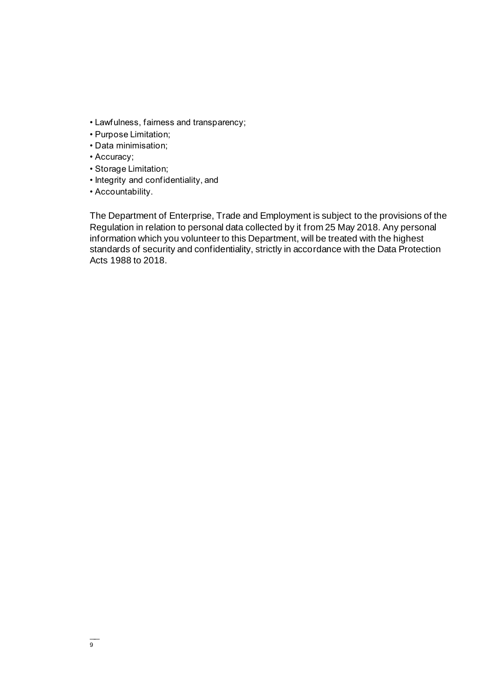- Lawfulness, fairness and transparency;
- Purpose Limitation;
- Data minimisation;
- Accuracy;
- Storage Limitation;
- Integrity and confidentiality, and
- Accountability.

The Department of Enterprise, Trade and Employment is subject to the provisions of the Regulation in relation to personal data collected by it from 25 May 2018. Any personal information which you volunteer to this Department, will be treated with the highest standards of security and confidentiality, strictly in accordance with the Data Protection Acts 1988 to 2018.